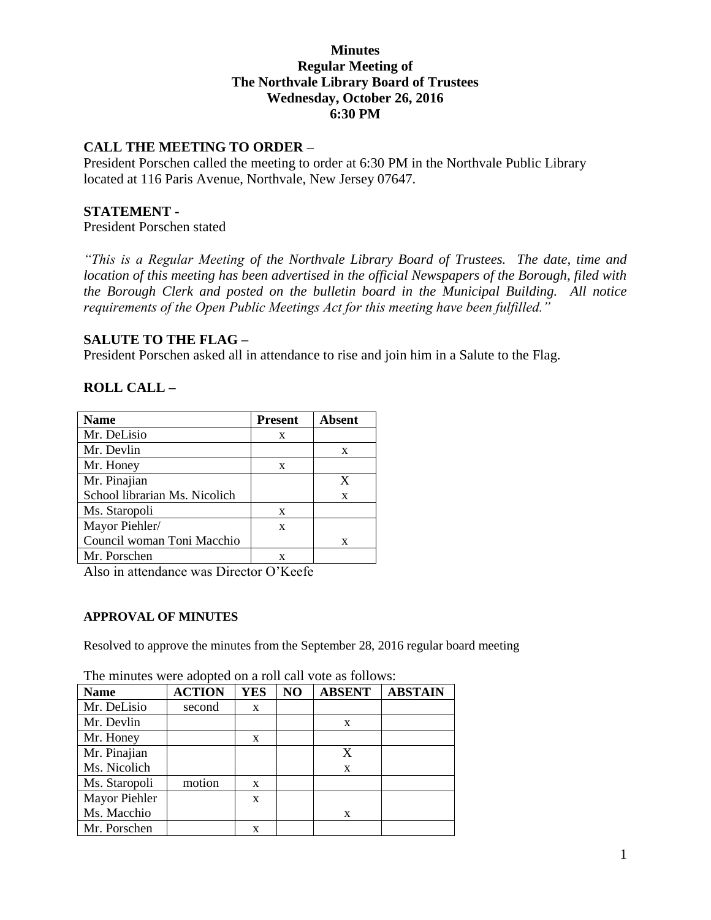# **Minutes Regular Meeting of The Northvale Library Board of Trustees Wednesday, October 26, 2016 6:30 PM**

# **CALL THE MEETING TO ORDER –**

President Porschen called the meeting to order at 6:30 PM in the Northvale Public Library located at 116 Paris Avenue, Northvale, New Jersey 07647.

# **STATEMENT -**

President Porschen stated

*"This is a Regular Meeting of the Northvale Library Board of Trustees. The date, time and location of this meeting has been advertised in the official Newspapers of the Borough, filed with the Borough Clerk and posted on the bulletin board in the Municipal Building. All notice requirements of the Open Public Meetings Act for this meeting have been fulfilled."* 

# **SALUTE TO THE FLAG –**

President Porschen asked all in attendance to rise and join him in a Salute to the Flag.

# **ROLL CALL –**

| <b>Name</b>                   | <b>Present</b> | <b>Absent</b> |
|-------------------------------|----------------|---------------|
| Mr. DeLisio                   | X              |               |
| Mr. Devlin                    |                | X             |
| Mr. Honey                     | X              |               |
| Mr. Pinajian                  |                | X             |
| School librarian Ms. Nicolich |                | X             |
| Ms. Staropoli                 | X              |               |
| Mayor Piehler/                | X              |               |
| Council woman Toni Macchio    |                | X             |
| Mr. Porschen                  |                |               |

Also in attendance was Director O'Keefe

### **APPROVAL OF MINUTES**

Resolved to approve the minutes from the September 28, 2016 regular board meeting

| <b>Name</b>   | <b>ACTION</b> | <b>YES</b> | NO | <b>ABSENT</b> | <b>ABSTAIN</b> |
|---------------|---------------|------------|----|---------------|----------------|
| Mr. DeLisio   | second        | X          |    |               |                |
| Mr. Devlin    |               |            |    | X             |                |
| Mr. Honey     |               | X          |    |               |                |
| Mr. Pinajian  |               |            |    | X             |                |
| Ms. Nicolich  |               |            |    | X             |                |
| Ms. Staropoli | motion        | X          |    |               |                |
| Mayor Piehler |               | X          |    |               |                |
| Ms. Macchio   |               |            |    | X             |                |
| Mr. Porschen  |               | x          |    |               |                |

The minutes were adopted on a roll call vote as follows: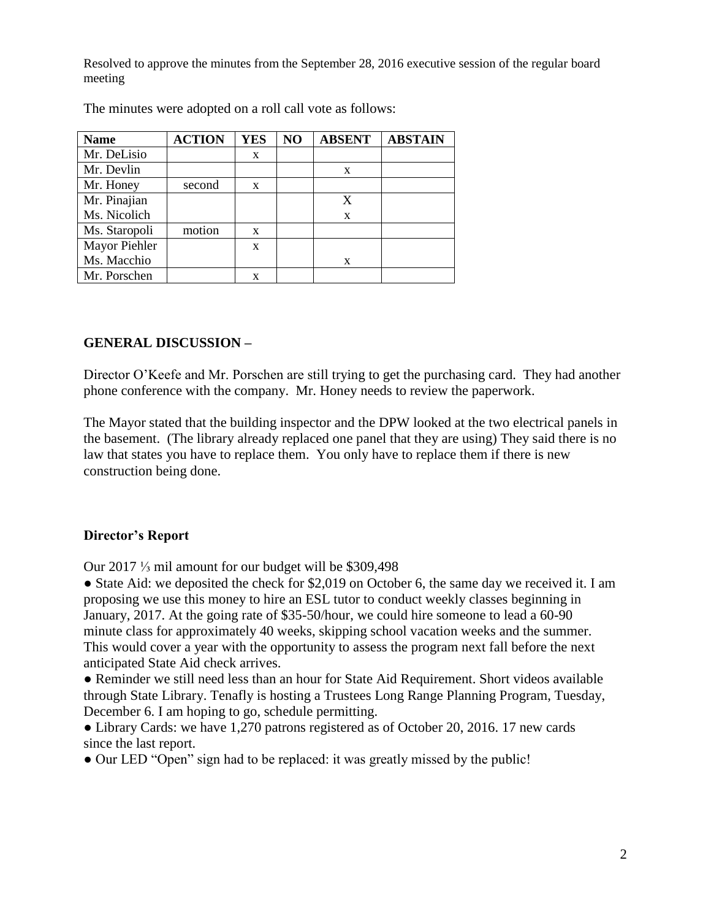Resolved to approve the minutes from the September 28, 2016 executive session of the regular board meeting

| <b>Name</b>   | <b>ACTION</b> | YES | NO | <b>ABSENT</b> | <b>ABSTAIN</b> |
|---------------|---------------|-----|----|---------------|----------------|
| Mr. DeLisio   |               | X   |    |               |                |
| Mr. Devlin    |               |     |    | X             |                |
| Mr. Honey     | second        | X   |    |               |                |
| Mr. Pinajian  |               |     |    | X             |                |
| Ms. Nicolich  |               |     |    | X             |                |
| Ms. Staropoli | motion        | X   |    |               |                |
| Mayor Piehler |               | X   |    |               |                |
| Ms. Macchio   |               |     |    | X             |                |
| Mr. Porschen  |               | X   |    |               |                |

The minutes were adopted on a roll call vote as follows:

### **GENERAL DISCUSSION –**

Director O'Keefe and Mr. Porschen are still trying to get the purchasing card. They had another phone conference with the company. Mr. Honey needs to review the paperwork.

The Mayor stated that the building inspector and the DPW looked at the two electrical panels in the basement. (The library already replaced one panel that they are using) They said there is no law that states you have to replace them. You only have to replace them if there is new construction being done.

#### **Director's Report**

Our 2017 ⅓ mil amount for our budget will be \$309,498

• State Aid: we deposited the check for \$2,019 on October 6, the same day we received it. I am proposing we use this money to hire an ESL tutor to conduct weekly classes beginning in January, 2017. At the going rate of \$35-50/hour, we could hire someone to lead a 60-90 minute class for approximately 40 weeks, skipping school vacation weeks and the summer. This would cover a year with the opportunity to assess the program next fall before the next anticipated State Aid check arrives.

● Reminder we still need less than an hour for State Aid Requirement. Short videos available through State Library. Tenafly is hosting a Trustees Long Range Planning Program, Tuesday, December 6. I am hoping to go, schedule permitting.

• Library Cards: we have 1,270 patrons registered as of October 20, 2016. 17 new cards since the last report.

• Our LED "Open" sign had to be replaced: it was greatly missed by the public!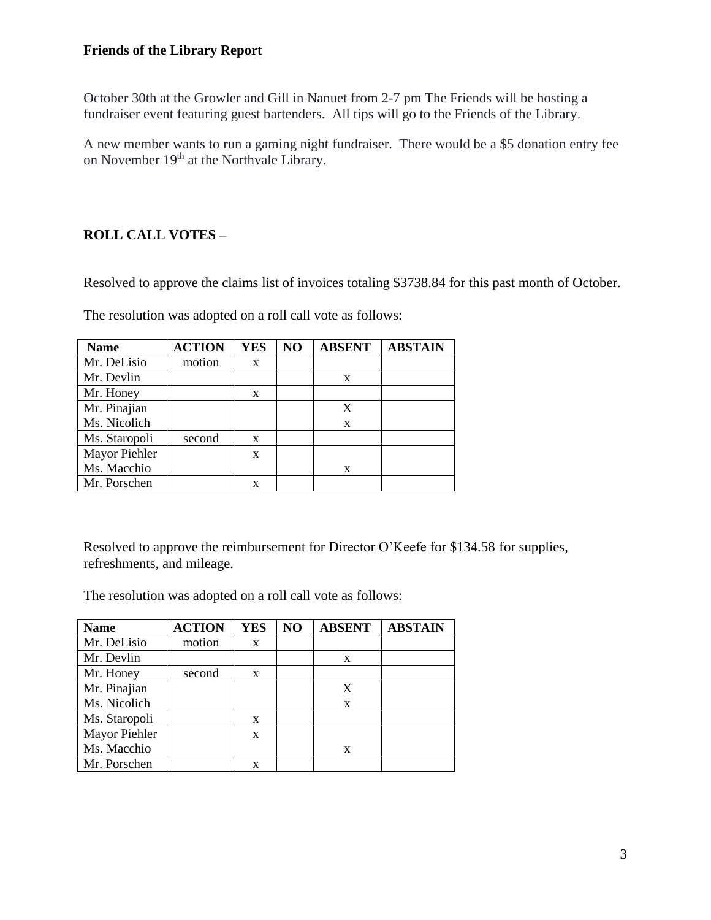# **Friends of the Library Report**

October 30th at the Growler and Gill in Nanuet from 2-7 pm The Friends will be hosting a fundraiser event featuring guest bartenders. All tips will go to the Friends of the Library.

A new member wants to run a gaming night fundraiser. There would be a \$5 donation entry fee on November 19<sup>th</sup> at the Northvale Library.

# **ROLL CALL VOTES –**

Resolved to approve the claims list of invoices totaling \$3738.84 for this past month of October.

|  |  |  | The resolution was adopted on a roll call vote as follows: |
|--|--|--|------------------------------------------------------------|
|--|--|--|------------------------------------------------------------|

| <b>Name</b>   | <b>ACTION</b> | <b>YES</b> | N <sub>O</sub> | <b>ABSENT</b> | <b>ABSTAIN</b> |
|---------------|---------------|------------|----------------|---------------|----------------|
| Mr. DeLisio   | motion        | X          |                |               |                |
| Mr. Devlin    |               |            |                | X             |                |
| Mr. Honey     |               | X          |                |               |                |
| Mr. Pinajian  |               |            |                |               |                |
| Ms. Nicolich  |               |            |                | X             |                |
| Ms. Staropoli | second        | X          |                |               |                |
| Mayor Piehler |               | X          |                |               |                |
| Ms. Macchio   |               |            |                | X             |                |
| Mr. Porschen  |               | x          |                |               |                |

Resolved to approve the reimbursement for Director O'Keefe for \$134.58 for supplies, refreshments, and mileage.

The resolution was adopted on a roll call vote as follows:

| <b>Name</b>   | <b>ACTION</b> | <b>YES</b> | NO | <b>ABSENT</b> | <b>ABSTAIN</b> |
|---------------|---------------|------------|----|---------------|----------------|
| Mr. DeLisio   | motion        | X          |    |               |                |
| Mr. Devlin    |               |            |    | X             |                |
| Mr. Honey     | second        | X          |    |               |                |
| Mr. Pinajian  |               |            |    |               |                |
| Ms. Nicolich  |               |            |    | X             |                |
| Ms. Staropoli |               | X          |    |               |                |
| Mayor Piehler |               | X          |    |               |                |
| Ms. Macchio   |               |            |    | X             |                |
| Mr. Porschen  |               | X          |    |               |                |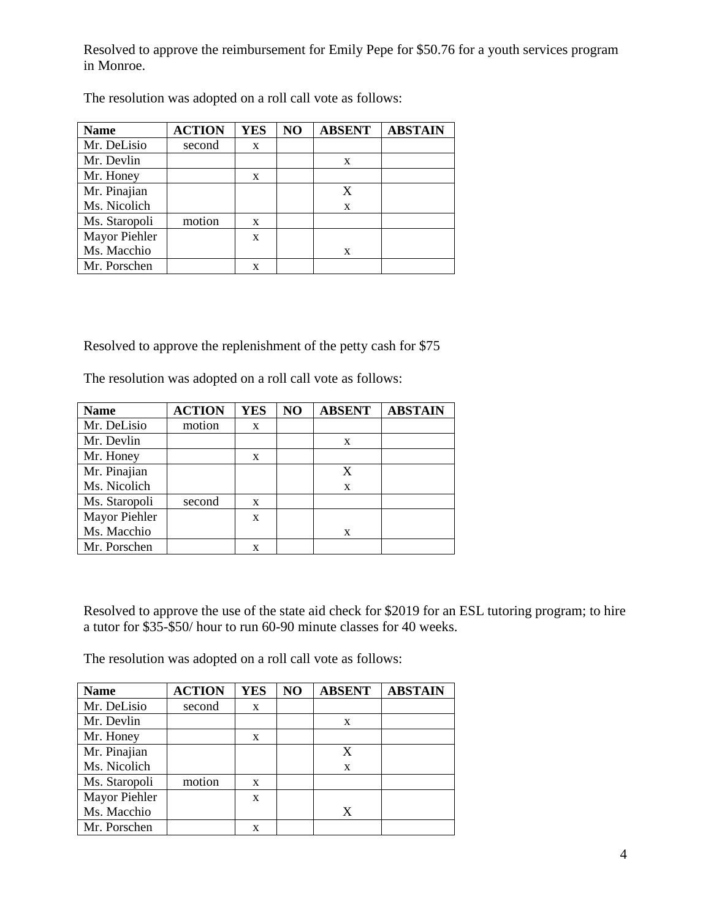Resolved to approve the reimbursement for Emily Pepe for \$50.76 for a youth services program in Monroe.

| <b>Name</b>   | <b>ACTION</b> | <b>YES</b> | NO | <b>ABSENT</b> | <b>ABSTAIN</b> |
|---------------|---------------|------------|----|---------------|----------------|
| Mr. DeLisio   | second        | X          |    |               |                |
| Mr. Devlin    |               |            |    | X             |                |
| Mr. Honey     |               | X          |    |               |                |
| Mr. Pinajian  |               |            |    | X             |                |
| Ms. Nicolich  |               |            |    | X             |                |
| Ms. Staropoli | motion        | X          |    |               |                |
| Mayor Piehler |               | X          |    |               |                |
| Ms. Macchio   |               |            |    | X             |                |
| Mr. Porschen  |               | x          |    |               |                |

The resolution was adopted on a roll call vote as follows:

Resolved to approve the replenishment of the petty cash for \$75

The resolution was adopted on a roll call vote as follows:

| <b>Name</b>   | <b>ACTION</b> | <b>YES</b> | NO | <b>ABSENT</b> | <b>ABSTAIN</b> |
|---------------|---------------|------------|----|---------------|----------------|
| Mr. DeLisio   | motion        | X          |    |               |                |
| Mr. Devlin    |               |            |    | X             |                |
| Mr. Honey     |               | X          |    |               |                |
| Mr. Pinajian  |               |            |    | X             |                |
| Ms. Nicolich  |               |            |    | X             |                |
| Ms. Staropoli | second        | X          |    |               |                |
| Mayor Piehler |               | X          |    |               |                |
| Ms. Macchio   |               |            |    | X             |                |
| Mr. Porschen  |               | x          |    |               |                |

Resolved to approve the use of the state aid check for \$2019 for an ESL tutoring program; to hire a tutor for \$35-\$50/ hour to run 60-90 minute classes for 40 weeks.

The resolution was adopted on a roll call vote as follows:

| <b>Name</b>   | <b>ACTION</b> | <b>YES</b> | NO | <b>ABSENT</b> | <b>ABSTAIN</b> |
|---------------|---------------|------------|----|---------------|----------------|
| Mr. DeLisio   | second        | X          |    |               |                |
| Mr. Devlin    |               |            |    | X             |                |
| Mr. Honey     |               | X          |    |               |                |
| Mr. Pinajian  |               |            |    | X             |                |
| Ms. Nicolich  |               |            |    | X             |                |
| Ms. Staropoli | motion        | X          |    |               |                |
| Mayor Piehler |               | X          |    |               |                |
| Ms. Macchio   |               |            |    | X             |                |
| Mr. Porschen  |               | X          |    |               |                |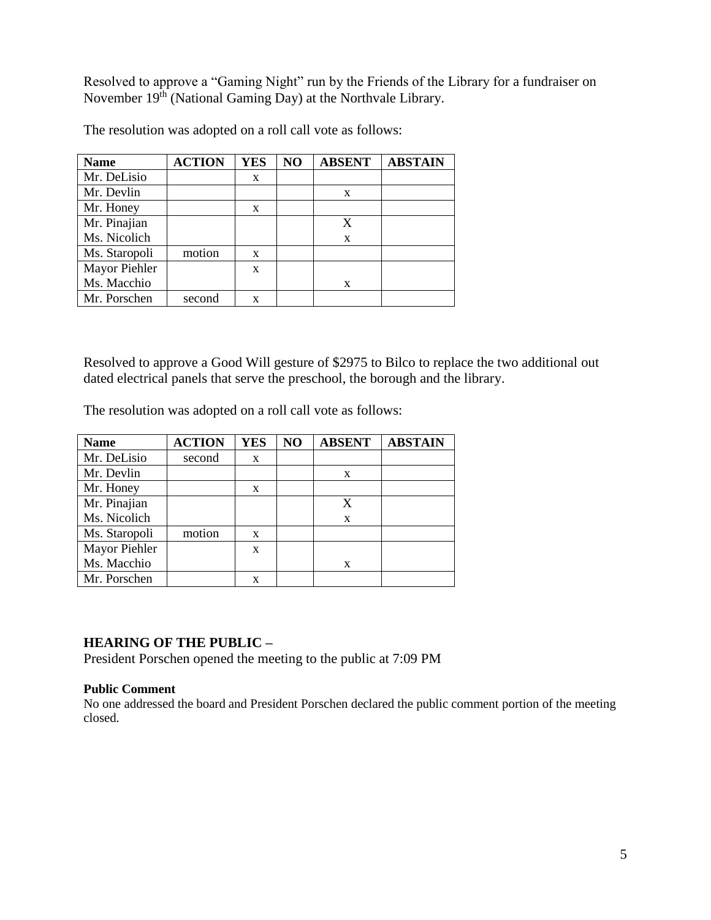Resolved to approve a "Gaming Night" run by the Friends of the Library for a fundraiser on November 19<sup>th</sup> (National Gaming Day) at the Northvale Library.

| <b>Name</b>   | <b>ACTION</b> | <b>YES</b> | NO | <b>ABSENT</b> | <b>ABSTAIN</b> |
|---------------|---------------|------------|----|---------------|----------------|
| Mr. DeLisio   |               | X          |    |               |                |
| Mr. Devlin    |               |            |    | X             |                |
| Mr. Honey     |               | X          |    |               |                |
| Mr. Pinajian  |               |            |    | X             |                |
| Ms. Nicolich  |               |            |    | X             |                |
| Ms. Staropoli | motion        | X          |    |               |                |
| Mayor Piehler |               | X          |    |               |                |
| Ms. Macchio   |               |            |    | X             |                |
| Mr. Porschen  | second        | X          |    |               |                |

The resolution was adopted on a roll call vote as follows:

Resolved to approve a Good Will gesture of \$2975 to Bilco to replace the two additional out dated electrical panels that serve the preschool, the borough and the library.

The resolution was adopted on a roll call vote as follows:

| <b>Name</b>   | <b>ACTION</b> | <b>YES</b> | N <sub>O</sub> | <b>ABSENT</b> | <b>ABSTAIN</b> |
|---------------|---------------|------------|----------------|---------------|----------------|
| Mr. DeLisio   | second        | X          |                |               |                |
| Mr. Devlin    |               |            |                | X             |                |
| Mr. Honey     |               | X          |                |               |                |
| Mr. Pinajian  |               |            |                | X             |                |
| Ms. Nicolich  |               |            |                | X             |                |
| Ms. Staropoli | motion        | X          |                |               |                |
| Mayor Piehler |               | X          |                |               |                |
| Ms. Macchio   |               |            |                | X             |                |
| Mr. Porschen  |               | X          |                |               |                |

### **HEARING OF THE PUBLIC –**

President Porschen opened the meeting to the public at 7:09 PM

#### **Public Comment**

No one addressed the board and President Porschen declared the public comment portion of the meeting closed.